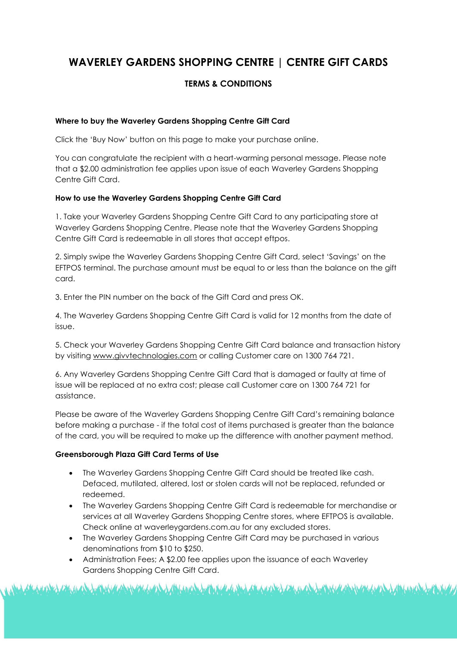# **WAVERLEY GARDENS SHOPPING CENTRE | CENTRE GIFT CARDS**

# **TERMS & CONDITIONS**

### **Where to buy the Waverley Gardens Shopping Centre Gift Card**

Click the 'Buy Now' button on this page to make your purchase online.

You can congratulate the recipient with a heart-warming personal message. Please note that a \$2.00 administration fee applies upon issue of each Waverley Gardens Shopping Centre Gift Card.

## **How to use the Waverley Gardens Shopping Centre Gift Card**

1. Take your Waverley Gardens Shopping Centre Gift Card to any participating store at Waverley Gardens Shopping Centre. Please note that the Waverley Gardens Shopping Centre Gift Card is redeemable in all stores that accept eftpos.

2. Simply swipe the Waverley Gardens Shopping Centre Gift Card, select 'Savings' on the EFTPOS terminal. The purchase amount must be equal to or less than the balance on the gift card.

3. Enter the PIN number on the back of the Gift Card and press OK.

4. The Waverley Gardens Shopping Centre Gift Card is valid for 12 months from the date of issue.

5. Check your Waverley Gardens Shopping Centre Gift Card balance and transaction history by visiting [www.givvtechnologies.com](http://www.givvtechnologies.com/) or calling Customer care on 1300 764 721.

6. Any Waverley Gardens Shopping Centre Gift Card that is damaged or faulty at time of issue will be replaced at no extra cost; please call Customer care on 1300 764 721 for assistance.

Please be aware of the Waverley Gardens Shopping Centre Gift Card's remaining balance before making a purchase - if the total cost of items purchased is greater than the balance of the card, you will be required to make up the difference with another payment method.

### **Greensborough Plaza Gift Card Terms of Use**

- The Waverley Gardens Shopping Centre Gift Card should be treated like cash. Defaced, mutilated, altered, lost or stolen cards will not be replaced, refunded or redeemed.
- The Waverley Gardens Shopping Centre Gift Card is redeemable for merchandise or services at all Waverley Gardens Shopping Centre stores, where EFTPOS is available. Check online at waverleygardens.com.au for any excluded stores.

A SAARA DALA AKAN SALA LAHA MARA DA YA KATANA DA DA YA MARA DA YA KATANA DA YA KATANA DA YA KATANA DA YA KATAN

- The Waverley Gardens Shopping Centre Gift Card may be purchased in various denominations from \$10 to \$250.
- Administration Fees; A \$2.00 fee applies upon the issuance of each Waverley Gardens Shopping Centre Gift Card.